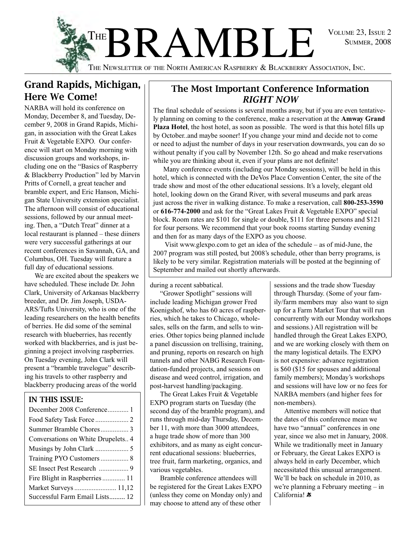



THE NEWSLETTER OF THE NORTH AMERICAN RASPBERRY  $\&$  BLACKBERRY Association, Inc.

### Grand Rapids, Michigan, Here We Come!

NARBA will hold its conference on Monday, December 8, and Tuesday, December 9, 2008 in Grand Rapids, Michigan, in association with the Great Lakes Fruit & Vegetable EXPO. Our conference will start on Monday morning with discussion groups and workshops, including one on the "Basics of Raspberry & Blackberry Production" led by Marvin Pritts of Cornell, a great teacher and bramble expert, and Eric Hanson, Michigan State University extension specialist. The afternoon will consist of educational sessions, followed by our annual meeting. Then, a "Dutch Treat" dinner at a local restaurant is planned – these diiners were very successful gatherings at our recent conferences in Savannah, GA, and Columbus, OH. Tuesday will feature a full day of educational sessions.

We are excited about the speakers we have scheduled. These include Dr. John Clark, University of Arkansas blackberry breeder, and Dr. Jim Joseph, USDA-ARS/Tufts University, who is one of the leading researchers on the health benefits of berries. He did some of the seminal research with blueberries, has recently worked with blackberries, and is just beginning a project involving raspberries. On Tuesday evening, John Clark will present a "bramble travelogue" describing his travels to other raspberry and blackberry producing areas of the world

#### In this Issue:

#### The Most Important Conference Information *RIGHT NOW*

The final schedule of sessions is several months away, but if you are even tentatively planning on coming to the conference, make a reservation at the **Amway Grand Plaza Hotel**, the host hotel, as soon as possible. The word is that this hotel fills up by October..and maybe sooner! If you change your mind and decide not to come or need to adjust the number of days in your reservation downwards, you can do so without penalty if you call by November 12th. So go ahead and make reservations while you are thinking about it, even if your plans are not definite!

Many conference events (including our Monday sessions), will be held in this hotel, which is connected with the DeVos Place Convention Center, the site of the trade show and most of the other educational sessions. It's a lovely, elegant old hotel, looking down on the Grand River, with several museums and park areas just across the river in walking distance. To make a reservation, call **800-253-3590**  or **616-774-2000** and ask for the "Great Lakes Fruit & Vegetable EXPO" special block. Room rates are \$101 for single or double, \$111 for three persons and \$121 for four persons. We recommend that your book rooms starting Sunday evening and then for as many days of the EXPO as you choose.

 Visit www.glexpo.com to get an idea of the schedule – as of mid-June, the 2007 program was still posted, but 2008's schedule, other than berry programs, is likely to be very similar. Registration materials will be posted at the beginning of September and mailed out shortly afterwards.

during a recent sabbatical.

"Grower Spotlight" sessions will include leading Michigan grower Fred Koenigshof, who has 60 acres of raspberries, which he takes to Chicago, wholesales, sells on the farm, and sells to wineries. Other topics being planned include a panel discussion on trellising, training, and pruning, reports on research on high tunnels and other NABG Research Foundation-funded projects, and sessions on disease and weed control, irrigation, and post-harvest handling/packaging.

The Great Lakes Fruit & Vegetable Expo program starts on Tuesday (the second day of the bramble program), and runs through mid-day Thursday, December 11, with more than 3000 attendees, a huge trade show of more than 300 exhibitors, and as many as eight concurrent educational sessions: blueberries, tree fruit, farm marketing, organics, and various vegetables.

Bramble conference attendees will be registered for the Great Lakes EXPO (unless they come on Monday only) and may choose to attend any of these other

sessions and the trade show Tuesday through Thursday. (Some of your family/farm members may also want to sign up for a Farm Market Tour that will run concurrently with our Monday workshops and sessions.) All registration will be handled through the Great Lakes Expo, and we are working closely with them on the many logistical details. The EXPO is not expensive: advance registration is \$60 (\$15 for spouses and additional family members); Monday's workshops and sessions will have low or no fees for NARBA members (and higher fees for non-members).

Attentive members will notice that the dates of this conference mean we have two "annual" conferences in one year, since we also met in January, 2008. While we traditionally meet in January or February, the Great Lakes Expo is always held in early December, which necessitated this unusual arrangement. We'll be back on schedule in 2010, as we're planning a February meeting – in California! \*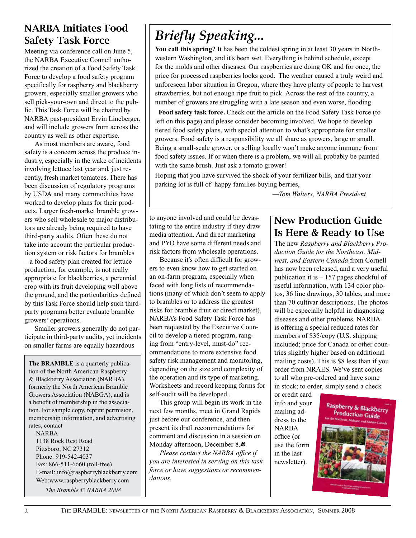### NARBA Initiates Food Safety Task Force

Meeting via conference call on June 5, the NARBA Executive Council authorized the creation of a Food Safety Task Force to develop a food safety program specifically for raspberry and blackberry growers, especially smaller growers who sell pick-your-own and direct to the public. This Task Force will be chaired by NARBA past-president Ervin Lineberger, and will include growers from across the country as well as other expertise.

As most members are aware, food safety is a concern across the produce industry, especially in the wake of incidents involving lettuce last year and, just recently, fresh market tomatoes. There has been discussion of regulatory programs by USDA and many commodities have worked to develop plans for their products. Larger fresh-market bramble growers who sell wholesale to major distributors are already being required to have third-party audits. Often these do not take into account the particular production system or risk factors for brambles – a food safety plan created for lettuce production, for example, is not really appropriate for blackberries, a perennial crop with its fruit developing well above the ground, and the particularities defined by this Task Force should help such thirdparty programs better evaluate bramble growers' operations.

Smaller growers generally do not participate in third-party audits, yet incidents on smaller farms are equally hazardous

**The BRAMBLE** is a quarterly publication of the North American Raspberry & Blackberry Association (NARBA), formerly the North American Bramble Growers Association (NABGA), and is a benefit of membership in the association. For sample copy, reprint permision, membership information, and advertising rates, contact NARBA

1138 Rock Rest Road Pittsboro, NC 27312 Phone: 919-542-4037 Fax: 866-511-6660 (toll-free) E-mail: info@raspberryblackberry.com Web:www.raspberryblackberry.com

*The Bramble © NARBA 2008*

# *Briefly Speaking...*

**You call this spring?** It has been the coldest spring in at least 30 years in Northwestern Washington, and it's been wet. Everything is behind schedule, except for the molds and other diseases. Our raspberries are doing OK and for once, the price for processed raspberries looks good. The weather caused a truly weird and unforeseen labor situation in Oregon, where they have plenty of people to harvest strawberries, but not enough ripe fruit to pick. Across the rest of the country, a number of growers are struggling with a late season and even worse, flooding.

 **Food safety task force.** Check out the article on the Food Safety Task Force (to left on this page) and please consider becoming involved. We hope to develop tiered food safety plans, with special attention to what's appropriate for smaller growers. Food safety is a responsibility we all share as growers, large or small. Being a small-scale grower, or selling locally won't make anyone immune from food safety issues. If or when there is a problem, we will all probably be painted with the same brush. Just ask a tomato grower!

Hoping that you have survived the shock of your fertilizer bills, and that your parking lot is full of happy families buying berries,

 *—Tom Walters, NARBA President*

to anyone involved and could be devastating to the entire industry if they draw media attention. And direct marketing and PYO have some different needs and risk factors from wholesale operations.

Because it's often difficult for growers to even know how to get started on an on-farm program, especially when faced with long lists of recommendations (many of which don't seem to apply to brambles or to address the greatest risks for bramble fruit or direct market), NARBA's Food Safety Task Force has been requested by the Executive Council to develop a tiered program, ranging from "entry-level, must-do" recommendations to more extensive food safety risk management and monitoring, depending on the size and complexity of the operation and its type of marketing. Worksheets and record keeping forms for self-audit will be developed..

This group will begin its work in the next few months, meet in Grand Rapids just before our conference, and then present its draft recommendations for comment and discussion in a session on Monday afternoon, December 8. $*$ 

*Please contact the NARBA office if you are interested in serving on this task force or have suggestions or recommendations.*

### New Production Guide Is Here & Ready to Use

The new *Raspberry and Blackberry Production Guide for the Northeast, Midwest, and Eastern Canada* from Cornell has now been released, and a very useful publication it is – 157 pages chockful of useful information, with 134 color photos, 36 line drawings, 30 tables, and more than 70 cultivar descriptions. The photos will be especially helpful in diagnosing diseases and other problems. NARBA is offering a special reduced rates for members of \$35/copy (U.S. shipping included; price for Canada or other countries slightly higher based on additional mailing costs). This is \$8 less than if you order from NRAES. We've sent copies to all who pre-ordered and have some in stock; to order, simply send a check

or credit card info and your mailing address to the NARBA office (or use the form in the last newsletter).

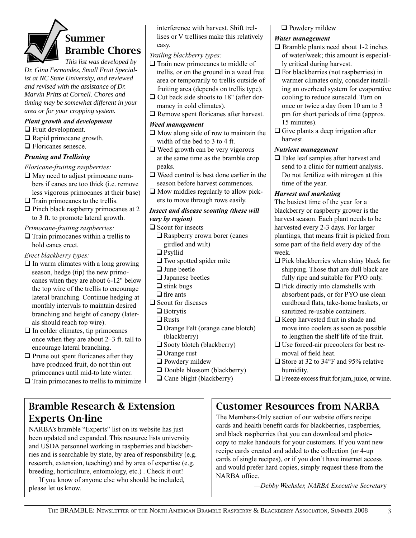# Summer Bramble Chores

*This list was developed by Dr. Gina Fernandez, Small Fruit Specialist at NC State University, and reviewed and revised with the assistance of Dr. Marvin Pritts at Cornell. Chores and timing may be somewhat different in your area or for your cropping system.* 

#### *Plant growth and development*

- $\Box$  Fruit development.
- $\Box$  Rapid primocane growth.
- $\Box$  Floricanes senesce.

#### *Pruning and Trellising*

*Floricane-fruiting raspberries:*

- $\Box$  May need to adjust primocane numbers if canes are too thick (i.e. remove less vigorous primocanes at their base)
- $\Box$  Train primocanes to the trellis.
- $\Box$  Pinch black raspberry primocanes at 2 to 3 ft. to promote lateral growth.

#### *Primocane-fruiting raspberries:*

 $\Box$  Train primocanes within a trellis to hold canes erect.

*Erect blackberry types:*

- $\Box$  In warm climates with a long growing season, hedge (tip) the new primocanes when they are about 6-12" below the top wire of the trellis to encourage lateral branching. Continue hedging at monthly intervals to maintain desired branching and height of canopy (laterals should reach top wire).
- $\Box$  In colder climates, tip primocanes once when they are about 2–3 ft. tall to encourage lateral branching.
- $\Box$  Prune out spent floricanes after they have produced fruit, do not thin out primocanes until mid-to late winter.
- $\Box$  Train primocanes to trellis to minimize

### Bramble Research & Extension Experts On-line

NARBA's bramble "Experts" list on its website has just been updated and expanded. This resource lists university and USDA personnel working in raspberries and blackberries and is searchable by state, by area of responsibility (e.g. research, extension, teaching) and by area of expertise (e.g. breeding, horticulture, entomology, etc.) . Check it out!

If you know of anyone else who should be included, please let us know.

interference with harvest. Shift trellises or V trellises make this relatively easy.

#### *Trailing blackberry types:*

- $\Box$  Train new primocanes to middle of trellis, or on the ground in a weed free area or temporarily to trellis outside of fruiting area (depends on trellis type).
- $\Box$  Cut back side shoots to 18" (after dormancy in cold climates).
- $\Box$  Remove spent floricanes after harvest.

#### *Weed management*

- $\Box$  Mow along side of row to maintain the width of the bed to 3 to 4 ft.
- $\Box$  Weed growth can be very vigorous at the same time as the bramble crop peaks.
- $\Box$  Weed control is best done earlier in the season before harvest commences.
- $\Box$  Mow middles regularly to allow pickers to move through rows easily.

#### *Insect and disease scouting (these will vary by region)*

- $\Box$  Scout for insects
	- $\Box$  Raspberry crown borer (canes girdled and wilt)
	- $\Box$  Psyllid
	- $\Box$  Two spotted spider mite
	- $\Box$  June beetle
	- $\Box$  Japanese beetles
	- $\Box$  stink bugs
- $\Box$  fire ants
- $\Box$  Scout for diseases
	- $\Box$  Botrytis
	- $\Box$  Rusts
	- $\Box$  Orange Felt (orange cane blotch) (blackberry)
	- $\Box$  Sooty blotch (blackberry)
	- $\Box$  Orange rust
	- $\Box$  Powdery mildew
	- $\Box$  Double blossom (blackberry)
	- $\Box$  Cane blight (blackberry)

#### $\Box$  Powdery mildew

#### *Water management*

- $\Box$  Bramble plants need about 1-2 inches of water/week; this amount is especially critical during harvest.
- $\Box$  For blackberries (not raspberries) in warmer climates only, consider installing an overhead system for evaporative cooling to reduce sunscald. Turn on once or twice a day from 10 am to 3 pm for short periods of time (approx. 15 minutes).
- $\Box$  Give plants a deep irrigation after harvest.

#### *Nutrient management*

 $\Box$  Take leaf samples after harvest and send to a clinic for nutrient analysis. Do not fertilize with nitrogen at this time of the year.

#### *Harvest and marketing*

The busiest time of the year for a blackberry or raspberry grower is the harvest season. Each plant needs to be harvested every 2-3 days. For larger plantings, that means fruit is picked from some part of the field every day of the week.

- $\Box$  Pick blackberries when shiny black for shipping. Those that are dull black are fully ripe and suitable for PYO only.
- $\Box$  Pick directly into clamshells with absorbent pads, or for PYO use clean cardboard flats, take-home baskets, or sanitized re-usable containers.
- $\Box$  Keep harvested fruit in shade and move into coolers as soon as possible to lengthen the shelf life of the fruit.
- $\Box$  Use forced-air precoolers for best removal of field heat.
- $\Box$  Store at 32 to 34°F and 95% relative humidity.
- $\Box$  Freeze excess fruit for jam, juice, or wine.

### Customer Resources from NARBA

The Members-Only section of our website offers recipe cards and health benefit cards for blackberries, raspberries, and black raspberries that you can download and photocopy to make handouts for your customers. If you want new recipe cards created and added to the collection (or 4-up cards of single recipes), or if you don't have internet access and would prefer hard copies, simply request these from the NARBA office.

*—Debby Wechsler, NARBA Executive Secretar*y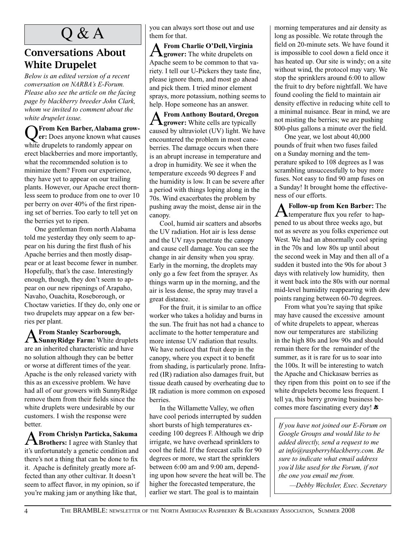## Q & A

### Conversations About White Drupelet

*Below is an edited version of a recent conversation on NARBA's E-Forum. Please also see the article on the facing page by blackberry breeder John Clark, whom we invited to comment about the white drupelet issue.* 

Q**From Ken Barber, Alabama grow-er:** Does anyone known what causes white drupelets to randomly appear on erect blackberries and more importantly, what the recommended solution is to minimize them? From our experience, they have yet to appear on our trailing plants. However, our Apache erect thornless seem to produce from one to over 10 per berry on over 40% of the first ripening set of berries. Too early to tell yet on the berries yet to ripen.

One gentleman from north Alabama told me yesterday they only seem to appear on his during the first flush of his Apache berries and then mostly disappear or at least become fewer in number. Hopefully, that's the case. Interestingly enough, though, they don't seem to appear on our new ripenings of Arapaho, Navaho, Ouachita, Roseborough, or Choctaw varieties. If they do, only one or two drupelets may appear on a few berries per plant.

A **From Stanley Scarborough, SunnyRidge Farm:** White druplets are an inherited characteristic and have no solution although they can be better or worse at different times of the year. Apache is the only released variety with this as an excessive problem. We have had all of our growers with SunnyRidge remove them from their fields since the white druplets were undesirable by our customers. I wish the response were better.

A**From Chrislyn Particka, Sakuma Brothers:** I agree with Stanley that it's unfortunately a genetic condition and there's not a thing that can be done to fix it. Apache is definitely greatly more affected than any other cultivar. It doesn't seem to affect flavor, in my opinion, so if you're making jam or anything like that,

you can always sort those out and use them for that.

A **From Charlie O'Dell, Virginia grower:** The white drupelets on Apache seem to be common to that variety. I tell our U-Pickers they taste fine, please ignore them, and most go ahead and pick them. I tried minor element sprays, more potassium, nothing seems to help. Hope someone has an answer.

A **From Anthony Boutard, Oregon grower:** White cells are typically caused by ultraviolet (UV) light. We have encountered the problem in most caneberries. The damage occurs when there is an abrupt increase in temperature and a drop in humidity. We see it when the temperature exceeds 90 degrees F and the humidity is low. It can be severe after a period with things loping along in the 70s. Wind exacerbates the problem by pushing away the moist, dense air in the canopy.

Cool, humid air scatters and absorbs the UV radiation. Hot air is less dense and the UV rays penetrate the canopy and cause cell damage. You can see the change in air density when you spray. Early in the morning, the droplets may only go a few feet from the sprayer. As things warm up in the morning, and the air is less dense, the spray may travel a great distance.

For the fruit, it is similar to an office worker who takes a holiday and burns in the sun. The fruit has not had a chance to acclimate to the hotter temperature and more intense UV radiation that results. We have noticed that fruit deep in the canopy, where you expect it to benefit from shading, is particularly prone. Infrared (IR) radiation also damages fruit, but tissue death caused by overheating due to IR radiation is more common on exposed berries.

In the Willamette Valley, we often have cool periods interrupted by sudden short bursts of high temperatures exceeding 100 degrees F. Although we drip irrigate, we have overhead sprinklers to cool the field. If the forecast calls for 90 degrees or more, we start the sprinklers between 6:00 am and 9:00 am, depending upon how severe the heat will be. The higher the forecasted temperature, the earlier we start. The goal is to maintain

morning temperatures and air density as long as possible. We rotate through the field on 20-minute sets. We have found it is impossible to cool down a field once it has heated up. Our site is windy; on a site without wind, the protocol may vary. We stop the sprinklers around 6:00 to allow the fruit to dry before nightfall. We have found cooling the field to maintain air density effective in reducing white cell to a minimal nuisance. Bear in mind, we are not misting the berries; we are pushing 800-plus gallons a minute over the field.

One year, we lost about 40,000 pounds of fruit when two fuses failed on a Sunday morning and the temperature spiked to 108 degrees as I was scrambling unsuccessfully to buy more fuses. Not easy to find 90 amp fuses on a Sunday! It brought home the effectiveness of our efforts.

A**Follow-up from Ken Barber:** The temperature flux you refer to happened to us about three weeks ago, but not as severe as you folks experience out West. We had an abnormally cool spring in the 70s and low 80s up until about the second week in May and then all of a sudden it busted into the 90s for about 3 days with relatively low humidity, then it went back into the 80s with our normal mid-level humidity reappearing with dew points ranging between 60-70 degrees.

From what you're saying that spike may have caused the excessive amount of white drupelets to appear, whereas now our temperatures are stabilizing in the high 80s and low 90s and should remain there for the remainder of the summer, as it is rare for us to soar into the 100s. It will be interesting to watch the Apache and Chickasaw berries as they ripen from this point on to see if the white drupelets become less frequent. I tell ya, this berry growing business becomes more fascinating every day!  $\ast$ 

*If you have not joined our E-Forum on Google Groups and would like to be added directly, send a request to me at info@raspberryblackberry.com. Be sure to indicate what email address you'd like used for the Forum, if not the one you email me from.*

*—Debby Wechsler, Exec. Secretary*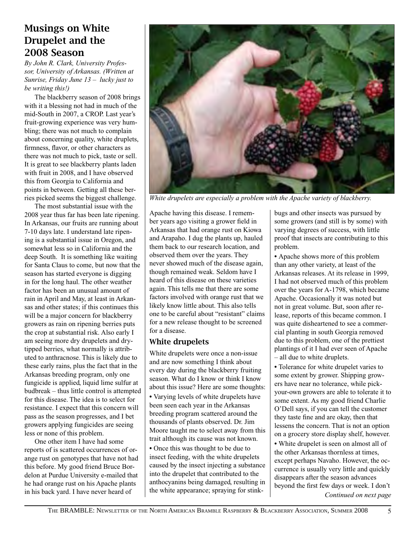### Musings on White Drupelet and the 2008 Season

*By John R. Clark, University Professor, University of Arkansas. (Written at Sunrise, Friday June 13 – lucky just to be writing this!)*

The blackberry season of 2008 brings with it a blessing not had in much of the mid-South in 2007, a CROP. Last year's fruit-growing experience was very humbling; there was not much to complain about concerning quality, white druplets, firmness, flavor, or other characters as there was not much to pick, taste or sell. It is great to see blackberry plants laden with fruit in 2008, and I have observed this from Georgia to California and points in between. Getting all these berries picked seems the biggest challenge.

The most substantial issue with the 2008 year thus far has been late ripening. In Arkansas, our fruits are running about 7-10 days late. I understand late ripening is a substantial issue in Oregon, and somewhat less so in California and the deep South. It is something like waiting for Santa Claus to come, but now that the season has started everyone is digging in for the long haul. The other weather factor has been an unusual amount of rain in April and May, at least in Arkansas and other states; if this continues this will be a major concern for blackberry growers as rain on ripening berries puts the crop at substantial risk. Also early I am seeing more dry drupelets and drytipped berries, what normally is attributed to anthracnose. This is likely due to these early rains, plus the fact that in the Arkansas breeding program, only one fungicide is applied, liquid lime sulfur at budbreak – thus little control is attempted for this disease. The idea is to select for resistance. I expect that this concern will pass as the season progresses, and I bet growers applying fungicides are seeing less or none of this problem.

One other item I have had some reports of is scattered occurrences of orange rust on genotypes that have not had this before. My good friend Bruce Bordelon at Purdue University e-mailed that he had orange rust on his Apache plants in his back yard. I have never heard of



*White drupelets are especially a problem with the Apache variety of blackberry.* 

Apache having this disease. I remember years ago visiting a grower field in Arkansas that had orange rust on Kiowa and Arapaho. I dug the plants up, hauled them back to our research location, and observed them over the years. They never showed much of the disease again, though remained weak. Seldom have I heard of this disease on these varieties again. This tells me that there are some factors involved with orange rust that we likely know little about. This also tells one to be careful about "resistant" claims for a new release thought to be screened for a disease.

#### White drupelets

White drupelets were once a non-issue and are now something I think about every day during the blackberry fruiting season. What do I know or think I know about this issue? Here are some thoughts: **•** Varying levels of white drupelets have been seen each year in the Arkansas breeding program scattered around the thousands of plants observed. Dr. Jim Moore taught me to select away from this trait although its cause was not known. **•** Once this was thought to be due to insect feeding, with the white drupelets caused by the insect injecting a substance into the drupelet that contributed to the anthocyanins being damaged, resulting in the white appearance; spraying for stinkbugs and other insects was pursued by some growers (and still is by some) with varying degrees of success, with little proof that insects are contributing to this problem.

**•** Apache shows more of this problem than any other variety, at least of the Arkansas releases. At its release in 1999, I had not observed much of this problem over the years for A-1798, which became Apache. Occasionally it was noted but not in great volume. But, soon after release, reports of this became common. I was quite disheartened to see a commercial planting in south Georgia removed due to this problem, one of the prettiest plantings of it I had ever seen of Apache – all due to white druplets.

**•** Tolerance for white drupelet varies to some extent by grower. Shipping growers have near no tolerance, while pickyour-own growers are able to tolerate it to some extent. As my good friend Charlie O'Dell says, if you can tell the customer they taste fine and are okay, then that lessens the concern. That is not an option on a grocery store display shelf, however.

*Continued on next page* **•** White drupelet is seen on almost all of the other Arkansas thornless at times, except perhaps Navaho. However, the occurrence is usually very little and quickly disappears after the season advances beyond the first few days or week. I don't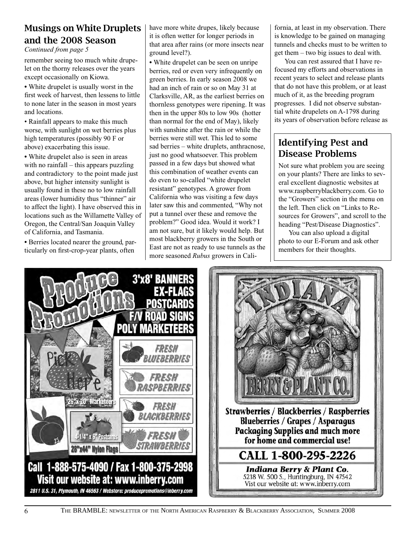### Musings on White Druplets and the 2008 Season

*Continued from page 5*

remember seeing too much white drupelet on the thorny releases over the years except occasionally on Kiowa.

**•** White drupelet is usually worst in the first week of harvest, then lessens to little to none later in the season in most years and locations.

• Rainfall appears to make this much worse, with sunlight on wet berries plus high temperatures (possibly 90 F or above) exacerbating this issue.

**•** White drupelet also is seen in areas with no rainfall – this appears puzzling and contradictory to the point made just above, but higher intensity sunlight is usually found in these no to low rainfall areas (lower humidity thus "thinner" air to affect the light). I have observed this in locations such as the Willamette Valley of Oregon, the Central/San Joaquin Valley of California, and Tasmania.

**•** Berries located nearer the ground, particularly on first-crop-year plants, often

have more white drupes, likely because it is often wetter for longer periods in that area after rains (or more insects near ground level?).

**•** White drupelet can be seen on unripe berries, red or even very infrequently on green berries. In early season 2008 we had an inch of rain or so on May 31 at Clarksville, AR, as the earliest berries on thornless genotypes were ripening. It was then in the upper 80s to low 90s (hotter than normal for the end of May), likely with sunshine after the rain or while the berries were still wet. This led to some sad berries – white druplets, anthracnose, just no good whatsoever. This problem passed in a few days but showed what this combination of weather events can do even to so-called "white drupelet resistant" genotypes. A grower from California who was visiting a few days later saw this and commented, "Why not put a tunnel over these and remove the problem?" Good idea. Would it work? I am not sure, but it likely would help. But most blackberry growers in the South or East are not as ready to use tunnels as the more seasoned *Rubus* growers in California, at least in my observation. There is knowledge to be gained on managing tunnels and checks must to be written to get them – two big issues to deal with.

You can rest assured that I have refocused my efforts and observations in recent years to select and release plants that do not have this problem, or at least much of it, as the breeding program progresses. I did not observe substantial white drupelets on A-1798 during its years of observation before release as

### Identifying Pest and Disease Problems

Not sure what problem you are seeing on your plants? There are links to several excellent diagnostic websites at www.raspberryblackberry.com. Go to the "Growers" section in the menu on the left. Then click on "Links to Resources for Growers", and scroll to the heading "Pest/Disease Diagnostics".

You can also upload a digital photo to our E-Forum and ask other members for their thoughts.



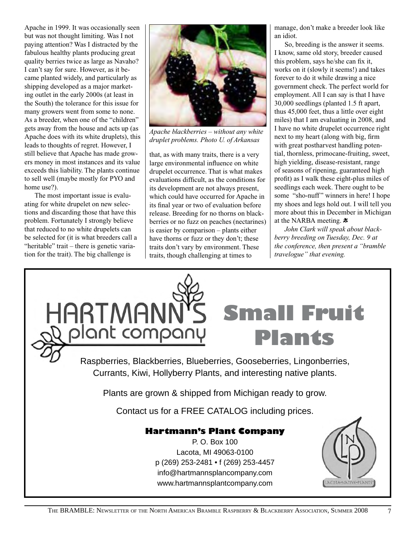Apache in 1999. It was occasionally seen but was not thought limiting. Was I not paying attention? Was I distracted by the fabulous healthy plants producing great quality berries twice as large as Navaho? I can't say for sure. However, as it became planted widely, and particularly as shipping developed as a major marketing outlet in the early 2000s (at least in the South) the tolerance for this issue for many growers went from some to none. As a breeder, when one of the "children" gets away from the house and acts up (as Apache does with its white druplets), this leads to thoughts of regret. However, I still believe that Apache has made growers money in most instances and its value exceeds this liability. The plants continue to sell well (maybe mostly for PYO and home use?).

The most important issue is evaluating for white drupelet on new selections and discarding those that have this problem. Fortunately I strongly believe that reduced to no white drupelets can be selected for (it is what breeders call a "heritable" trait – there is genetic variation for the trait). The big challenge is



*Apache blackberries – without any white druplet problems. Photo U. of Arkansas*

that, as with many traits, there is a very large environmental influence on white drupelet occurrence. That is what makes evaluations difficult, as the conditions for its development are not always present, which could have occurred for Apache in its final year or two of evaluation before release. Breeding for no thorns on blackberries or no fuzz on peaches (nectarines) is easier by comparison – plants either have thorns or fuzz or they don't; these traits don't vary by environment. These traits, though challenging at times to

manage, don't make a breeder look like an idiot.

So, breeding is the answer it seems. I know, same old story, breeder caused this problem, says he/she can fix it, works on it (slowly it seems!) and takes forever to do it while drawing a nice government check. The perfect world for employment. All I can say is that I have 30,000 seedlings (planted 1.5 ft apart, thus 45,000 feet, thus a little over eight miles) that I am evaluating in 2008, and I have no white drupelet occurrence right next to my heart (along with big, firm with great postharvest handling potential, thornless, primocane-fruiting, sweet, high yielding, disease-resistant, range of seasons of ripening, guaranteed high profit) as I walk these eight-plus miles of seedlings each week. There ought to be some "sho-nuff" winners in here! I hope my shoes and legs hold out. I will tell you more about this in December in Michigan at the NARBA meeting.  $\ast$ 

*John Clark will speak about blackberry breeding on Tuesday, Dec. 9 at the conference, then present a "bramble travelogue" that evening.*

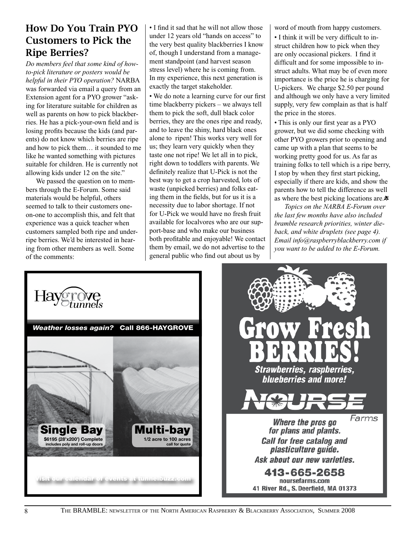### How Do You Train PYO Customers to Pick the Ripe Berries?

*Do members feel that some kind of howto-pick literature or posters would be helpful in their PYO operation?* NARBA was forwarded via email a query from an Extension agent for a PYO grower "asking for literature suitable for children as well as parents on how to pick blackberries. He has a pick-your-own field and is losing profits because the kids (and parents) do not know which berries are ripe and how to pick them… it sounded to me like he wanted something with pictures suitable for children. He is currently not allowing kids under 12 on the site."

We passed the question on to members through the E-Forum. Some said materials would be helpful, others seemed to talk to their customers oneon-one to accomplish this, and felt that experience was a quick teacher when customers sampled both ripe and underripe berries. We'd be interested in hearing from other members as well. Some of the comments:

• I find it sad that he will not allow those under 12 years old "hands on access" to the very best quality blackberries I know of, though I understand from a management standpoint (and harvest season stress level) where he is coming from. In my experience, this next generation is exactly the target stakeholder.

• We do note a learning curve for our first time blackberry pickers – we always tell them to pick the soft, dull black color berries, they are the ones ripe and ready, and to leave the shiny, hard black ones alone to ripen! This works very well for us; they learn very quickly when they taste one not ripe! We let all in to pick, right down to toddlers with parents. We definitely realize that U-Pick is not the best way to get a crop harvested, lots of waste (unpicked berries) and folks eating them in the fields, but for us it is a necessity due to labor shortage. If not for U-Pick we would have no fresh fruit available for localvores who are our support-base and who make our business both profitable and enjoyable! We contact them by email, we do not advertise to the general public who find out about us by

word of mouth from happy customers.

• I think it will be very difficult to instruct children how to pick when they are only occasional pickers. I find it difficult and for some impossible to instruct adults. What may be of even more importance is the price he is charging for U-pickers. We charge \$2.50 per pound and although we only have a very limited supply, very few complain as that is half the price in the stores.

• This is only our first year as a PYO grower, but we did some checking with other PYO growers prior to opening and came up with a plan that seems to be working pretty good for us. As far as training folks to tell which is a ripe berry, I stop by when they first start picking, especially if there are kids, and show the parents how to tell the difference as well as where the best picking locations are.\*

*Topics on the NARBA E-Forum over the last few months have also included bramble research priorities, winter dieback, and white druplets (see page 4). Email info@raspberryblackberry.com if you want to be added to the E-Forum.*



The Bramble: newsletter of the North American Raspberry & Blackberry Association, Summer 2008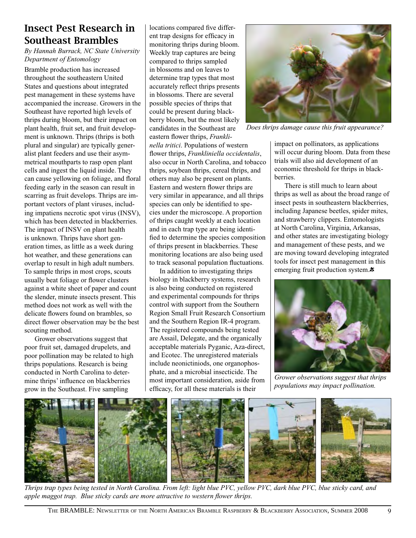### Insect Pest Research in Southeast Brambles

*By Hannah Burrack, NC State University Department of Entomology*

Bramble production has increased throughout the southeastern United States and questions about integrated pest management in these systems have accompanied the increase. Growers in the Southeast have reported high levels of thrips during bloom, but their impact on plant health, fruit set, and fruit development is unknown. Thrips (thrips is both plural and singular) are typically generalist plant feeders and use their asymmetrical mouthparts to rasp open plant cells and ingest the liquid inside. They can cause yellowing on foliage, and floral feeding early in the season can result in scarring as fruit develops. Thrips are important vectors of plant viruses, including impatiens necrotic spot virus (INSV), which has been detected in blackberries. The impact of INSV on plant health is unknown. Thrips have short generation times, as little as a week during hot weather, and these generations can overlap to result in high adult numbers. To sample thrips in most crops, scouts usually beat foliage or flower clusters against a white sheet of paper and count the slender, minute insects present. This method does not work as well with the delicate flowers found on brambles, so direct flower observation may be the best scouting method.

Grower observations suggest that poor fruit set, damaged drupelets, and poor pollination may be related to high thrips populations. Research is being conducted in North Carolina to determine thrips' influence on blackberries grow in the Southeast. Five sampling

locations compared five different trap designs for efficacy in monitoring thrips during bloom. Weekly trap captures are being compared to thrips sampled in blossoms and on leaves to determine trap types that most accurately reflect thrips presents in blossoms. There are several possible species of thrips that could be present during blackberry bloom, but the most likely candidates in the Southeast are eastern flower thrips, *Franklinella tritici*. Populations of western flower thrips, *Frankliniella occidentalis*, also occur in North Carolina, and tobacco thrips, soybean thrips, cereal thrips, and others may also be present on plants. Eastern and western flower thrips are very similar in appearance, and all thrips species can only be identified to species under the microscope. A proportion of thrips caught weekly at each location and in each trap type are being identified to determine the species composition of thrips present in blackberries. These monitoring locations are also being used to track seasonal population fluctuations.

In addition to investigating thrips biology in blackberry systems, research is also being conducted on registered and experimental compounds for thrips control with support from the Southern Region Small Fruit Research Consortium and the Southern Region IR-4 program. The registered compounds being tested are Assail, Delegate, and the organically acceptable materials Pyganic, Aza-direct, and Ecotec. The unregistered materials include neonictiniods, one organophosphate, and a microbial insecticide. The most important consideration, aside from efficacy, for all these materials is their



*Does thrips damage cause this fruit appearance?*

impact on pollinators, as applications will occur during bloom. Data from these trials will also aid development of an economic threshold for thrips in blackberries.

There is still much to learn about thrips as well as about the broad range of insect pests in southeastern blackberries, including Japanese beetles, spider mites, and strawberry clippers. Entomologists at North Carolina, Virginia, Arkansas, and other states are investigating biology and management of these pests, and we are moving toward developing integrated tools for insect pest management in this emerging fruit production system. $\ddot{\ast}$ 



*Grower observations suggest that thrips populations may impact pollination.*



*Thrips trap types being tested in North Carolina. From left: light blue PVC, yellow PVC, dark blue PVC, blue sticky card, and apple maggot trap. Blue sticky cards are more attractive to western flower thrips.*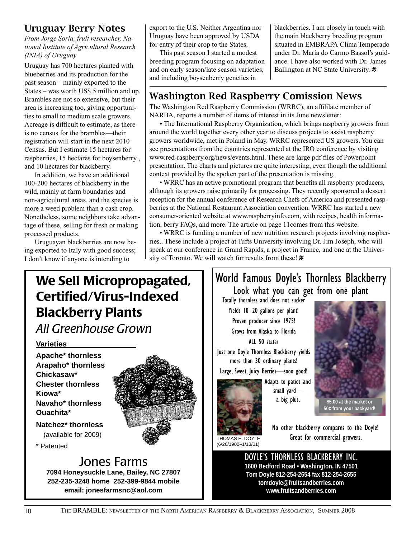### Uruguay Berry Notes

*From Jorge Soria, fruit researcher, National Institute of Agricultural Research (INIA) of Uruguay* 

Uruguay has 700 hectares planted with blueberries and its production for the past season – mainly exported to the States – was worth US\$ 5 million and up. Brambles are not so extensive, but their area is increasing too, giving opportunities to small to medium scale growers. Acreage is difficult to estimate, as there is no census for the brambles—their registration will start in the next 2010 Census. But I estimate 15 hectares for raspberries, 15 hectares for boysenberry , and 10 hectares for blackberry.

In addition, we have an additional 100-200 hectares of blackberry in the wild, mainly at farm boundaries and non-agricultural areas, and the species is more a weed problem than a cash crop. Nonetheless, some neighbors take advantage of these, selling for fresh or making processed products.

Uruguayan blackberries are now being exported to Italy with good success; I don't know if anyone is intending to

export to the U.S. Neither Argentina nor Uruguay have been approved by USDA for entry of their crop to the States.

This past season I started a modest breeding program focusing on adaptation and on early season/late season varieties, and including boysenberry genetics in

blackberries. I am closely in touch with the main blackberry breeding program situated in EMBRAPA Clima Temperado under Dr. María do Carmo Bassol's guidance. I have also worked with Dr. James Ballington at NC State University.  $\ast$ 

### Washington Red Raspberry Comission News

The Washington Red Raspberry Commission (WRRC), an affililate member of NARBA, reports a number of items of interest in its June newsletter:

**•** The International Raspberry Organization, which brings raspberry growers from around the world together every other year to discuss projects to assist raspberry growers worldwide, met in Poland in May. WRRC represented US growers. You can see presentations from the countries represented at the IRO conference by visiting www.red-raspberry.org/news/events.html. These are large pdf files of Powerpoint presentation. The charts and pictures are quite interesting, even though the additional context provided by the spoken part of the presentation is missing.

• WRRC has an active promotional program that benefits all raspberry producers, although its growers raise primarily for processing. They recently sponsored a dessert reception for the annual conference of Research Chefs of America and presented raspberries at the National Restaurant Association convention. WRRC has started a new consumer-oriented website at www.raspberryinfo.com, with recipes, health information, berry FAQs, and more. The article on page 11comes from this website.

• WRRC is funding a number of new nutrition research projects involving raspberries.. These include a project at Tufts University involving Dr. Jim Joseph, who will speak at our conference in Grand Rapids, a project in France, and one at the University of Toronto. We will watch for results from these!  $*$ 

## We Sell Micropropagated, Certified/Virus-Indexed Blackberry Plants

*All Greenhouse Grown*

#### **Varieties**

**Apache\* thornless Arapaho\* thornless Chickasaw\* Chester thornless Kiowa\* Navaho\* thornless Ouachita\***

**Natchez\* thornless**  (available for 2009)

\* Patented

### Jones Farms

**7094 Honeysuckle Lane, Bailey, NC 27807 252-235-3248 home 252-399-9844 mobile email: jonesfarmsnc@aol.com**

### World Famous Doyle's Thornless Blackberry Look what you can get from one plant

Totally thornless and does not sucker Yields 10–20 gallons per plant! Proven producer since 1975! Grows from Alaska to Florida ALL 50 states Just one Doyle Thornless Blackberry yields

more than 30 ordinary plants! Large, Sweet, Juicy Berries—sooo good!

> Adapts to patios and small yard – a big plus.



**50¢ from your backyard!**

THOMAS E. DOYLE (6/26/1900–1/13/01)

No other blackberry compares to the Doyle! Great for commercial growers.

DOYLE'S THORNLESS BLACKBERRY INC. **1600 Bedford Road • Washington, IN 47501 Tom Doyle 812-254-2654 fax 812-254-2655 tomdoyle@fruitsandberries.com www.fruitsandberries.com**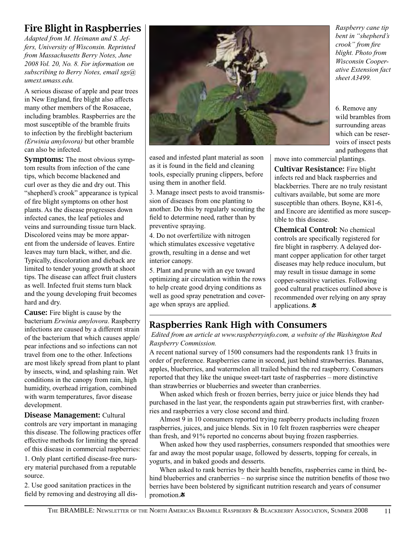### Fire Blight in Raspberries

*Adapted from M. Heimann and S. Jeffers, University of Wisconsin. Reprinted from Massachusetts Berry Notes, June 2008 Vol. 20, No. 8. For information on subscribing to Berry Notes, email sgs@ umext.umass.edu.*

A serious disease of apple and pear trees in New England, fire blight also affects many other members of the Rosaceae, including brambles. Raspberries are the most susceptible of the bramble fruits to infection by the fireblight bacterium *(Erwinia amylovora)* but other bramble can also be infected.

Symptoms: The most obvious symptom results from infection of the cane tips, which become blackened and curl over as they die and dry out. This "shepherd's crook" appearance is typical of fire blight symptoms on other host plants. As the disease progresses down infected canes, the leaf petioles and veins and surrounding tissue turn black. Discolored veins may be more apparent from the underside of leaves. Entire leaves may turn black, wither, and die. Typically, discoloration and dieback are limited to tender young growth at shoot tips. The disease can affect fruit clusters as well. Infected fruit stems turn black and the young developing fruit becomes hard and dry.

Cause: Fire blight is cause by the bacterium *Erwinia amylovora*. Raspberry infections are caused by a different strain of the bacterium that which causes apple/ pear infections and so infections can not travel from one to the other. Infections are most likely spread from plant to plant by insects, wind, and splashing rain. Wet conditions in the canopy from rain, high humidity, overhead irrigation, combined with warm temperatures, favor disease development.

Disease Management: Cultural controls are very important in managing this disease. The following practices offer effective methods for limiting the spread of this disease in commercial raspberries: 1. Only plant certified disease-free nurs-

ery material purchased from a reputable source.

2. Use good sanitation practices in the field by removing and destroying all dis-



eased and infested plant material as soon as it is found in the field and cleaning tools, especially pruning clippers, before using them in another field.

3. Manage insect pests to avoid transmission of diseases from one planting to another. Do this by regularly scouting the field to determine need, rather than by preventive spraying.

4. Do not overfertilize with nitrogen which stimulates excessive vegetative growth, resulting in a dense and wet interior canopy.

5. Plant and prune with an eye toward optimizing air circulation within the rows to help create good drying conditions as well as good spray penetration and coverage when sprays are applied.

move into commercial plantings.

Cultivar Resistance: Fire blight infects red and black raspberries and blackberries. There are no truly resistant cultivars available, but some are more susceptible than others. Boyne, K81-6, and Encore are identified as more susceptible to this disease.

Chemical Control: No chemical controls are specifically registered for fire blight in raspberry. A delayed dormant copper application for other target diseases may help reduce inoculum, but may result in tissue damage in some copper-sensitive varieties. Following good cultural practices outlined above is recommended over relying on any spray applications.  $\ast$ 

### Raspberries Rank High with Consumers

 *Edited from an article at www.raspberryinfo.com, a website of the Washington Red Raspberry Commission.*

A recent national survey of 1500 consumers had the respondents rank 13 fruits in order of preference. Raspberries came in second, just behind strawberries. Bananas, apples, blueberries, and watermelon all trailed behind the red raspberry. Consumers reported that they like the unique sweet-tart taste of raspberries – more distinctive than strawberries or blueberries and sweeter than cranberries.

When asked which fresh or frozen berries, berry juice or juice blends they had purchased in the last year, the respondents again put strawberries first, with cranberries and raspberries a very close second and third.

Almost 9 in 10 consumers reported trying raspberry products including frozen raspberries, juices, and juice blends. Six in 10 felt frozen raspberries were cheaper than fresh, and 91% reported no concerns about buying frozen raspberries.

When asked how they used raspberries, consumers responded that smoothies were far and away the most popular usage, followed by desserts, topping for cereals, in yogurts, and in baked goods and desserts.

When asked to rank berries by their health benefits, raspberries came in third, behind blueberries and cranberries – no surprise since the nutrition benefits of those two berries have been bolstered by significant nutrition research and years of consumer promotion. $\ast$ 

*bent in "shepherd's crook" from fire blight. Photo from Wisconsin Cooperative Extension fact sheet A3499.* 

*Raspberry cane tip* 

6. Remove any wild brambles from surrounding areas which can be reservoirs of insect pests and pathogens that

THE BRAMBLE: NEWSLETTER OF THE NORTH AMERICAN BRAMBLE RASPBERRY & BLACKBERRY ASSOCIATION, SUMMER 2008 11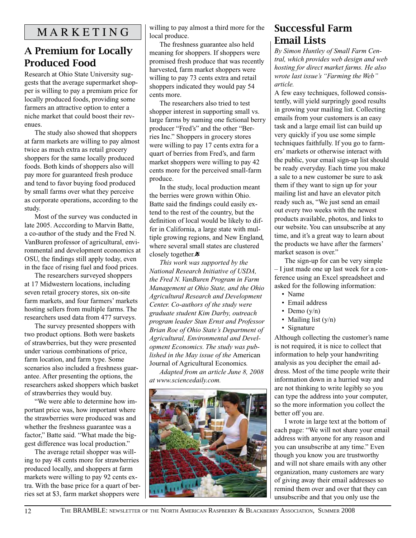### A Premium for Locally Produced Food

Research at Ohio State University suggests that the average supermarket shopper is willing to pay a premium price for locally produced foods, providing some farmers an attractive option to enter a niche market that could boost their revenues.

The study also showed that shoppers at farm markets are willing to pay almost twice as much extra as retail grocery shoppers for the same locally produced foods. Both kinds of shoppers also will pay more for guaranteed fresh produce and tend to favor buying food produced by small farms over what they perceive as corporate operations, according to the study.

Most of the survey was conducted in late 2005. Acccording to Marvin Batte, a co-author of the study and the Fred N. VanBuren professor of agricultural, environmental and development economics at OSU, the findings still apply today, even in the face of rising fuel and food prices.

The researchers surveyed shoppers at 17 Midwestern locations, including seven retail grocery stores, six on-site farm markets, and four farmers' markets hosting sellers from multiple farms. The researchers used data from 477 surveys.

The survey presented shoppers with two product options. Both were baskets of strawberries, but they were presented under various combinations of price, farm location, and farm type. Some scenarios also included a freshness guarantee. After presenting the options, the researchers asked shoppers which basket of strawberries they would buy.

"We were able to determine how important price was, how important where the strawberries were produced was and whether the freshness guarantee was a factor," Batte said. "What made the biggest difference was local production."

The average retail shopper was willing to pay 48 cents more for strawberries produced locally, and shoppers at farm markets were willing to pay 92 cents extra. With the base price for a quart of berries set at \$3, farm market shoppers were willing to pay almost a third more for the local produce.

The freshness guarantee also held meaning for shoppers. If shoppers were promised fresh produce that was recently harvested, farm market shoppers were willing to pay 73 cents extra and retail shoppers indicated they would pay 54 cents more.

The researchers also tried to test shopper interest in supporting small vs. large farms by naming one fictional berry producer "Fred's" and the other "Berries Inc." Shoppers in grocery stores were willing to pay 17 cents extra for a quart of berries from Fred's, and farm market shoppers were willing to pay 42 cents more for the perceived small-farm produce.

In the study, local production meant the berries were grown within Ohio. Batte said the findings could easily extend to the rest of the country, but the definition of local would be likely to differ in California, a large state with multiple growing regions, and New England, where several small states are clustered closely together.\*

*This work was supported by the National Research Initiative of USDA, the Fred N. VanBuren Program in Farm Management at Ohio State, and the Ohio Agricultural Research and Development Center. Co-authors of the study were graduate student Kim Darby, outreach program leader Stan Ernst and Professor Brian Roe of Ohio State's Department of Agricultural, Environmental and Development Economics. The study was published in the May issue of the* American Journal of Agricultural Economics*.*

*Adapted from an article June 8, 2008 at www.sciencedaily.com.*



### Successful Farm Email Lists

*By Simon Huntley of Small Farm Central, which provides web design and web hosting for direct market farms. He also wrote last issue's "Farming the Web" article.*

A few easy techniques, followed consistently, will yield surpringly good results in growing your mailing list. Collecting emails from your customers is an easy task and a large email list can build up very quickly if you use some simple techniques faithfully. If you go to farmers' markets or otherwise interact with the public, your email sign-up list should be ready everyday. Each time you make a sale to a new customer be sure to ask them if they want to sign up for your mailing list and have an elevator pitch ready such as, "We just send an email out every two weeks with the newest products available, photos, and links to our website. You can unsubscribe at any time, and it's a great way to learn about the products we have after the farmers' market season is over."

The sign-up for can be very simple – I just made one up last week for a conference using an Excel spreadsheet and asked for the following information:

- Name
- Email address
- Demo  $(y/n)$
- Mailing list (y/n)
- Signature

Although collecting the customer's name is not required, it is nice to collect that information to help your handwriting analysis as you decipher the email address. Most of the time people write their information down in a hurried way and are not thinking to write legibly so you can type the address into your computer, so the more information you collect the better off you are.

I wrote in large text at the bottom of each page: "We will not share your email address with anyone for any reason and you can unsubscribe at any time." Even though you know you are trustworthy and will not share emails with any other organization, many customers are wary of giving away their email addresses so remind them over and over that they can unsubscribe and that you only use the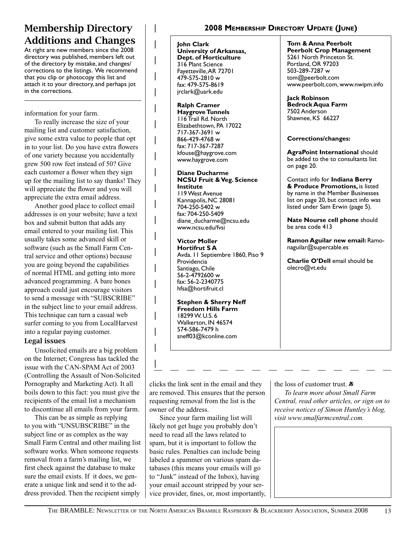### Membership Directory Additions and Changes

At right are new members since the 2008 directory was published, members left out of the directory by mistake, and changes/ corrections to the listings. We recommend that you clip or photocopy this list and attach it to your directory, and perhaps jot in the corrections.

information for your farm.

To really increase the size of your mailing list and customer satisfaction, give some extra value to people that opt in to your list. Do you have extra flowers of one variety because you accidentally grew 500 row feet instead of 50? Give each customer a flower when they sign up for the mailing list to say thanks! They will appreciate the flower and you will appreciate the extra email address.

Another good place to collect email addresses is on your website; have a text box and submit button that adds any email entered to your mailing list. This usually takes some advanced skill or software (such as the Small Farm Central service and other options) because you are going beyond the capabilities of normal HTML and getting into more advanced programming. A bare bones approach could just encourage visitors to send a message with "SUBSCRIBE" in the subject line to your email address. This technique can turn a casual web surfer coming to you from LocalHarvest into a regular paying customer.

#### Legal issues

Unsolicited emails are a big problem on the Internet; Congress has tackled the issue with the CAN-SPAM Act of 2003 (Controlling the Assault of Non-Solicited Pornography and Marketing Act). It all boils down to this fact: you must give the recipients of the email list a mechanism to discontinue all emails from your farm.

This can be as simple as replying to you with "UNSUBSCRIBE" in the subject line or as complex as the way Small Farm Central and other mailing list software works. When someone requests removal from a farm's mailing list, we first check against the database to make sure the email exists. If it does, we generate a unique link and send it to the address provided. Then the recipient simply

#### **2008 Membership Directory Update (June)**

**John Clark University of Arkansas, Dept. of Horticulture** 316 Plant Science Fayetteville, AR 72701 479-575-2810 w fax: 479-575-8619 jrclark@uark.edu

**Ralph Cramer Haygrove Tunnels** 116 Trail Rd. North Elizabethtown, PA 17022 717-367-3691 w 866-429-4768 w fax: 717-367-7287 kfouse@haygrove.com www.haygrove.com

#### **Diane Ducharme NCSU Fruit & Veg. Science Institute** 119 West Avenue

Kannapolis, NC 28081 704-250-5402 w fax: 704-250-5409 diane\_ducharme@ncsu.edu www.ncsu.edu/fvsi

#### **Victor Moller Hortifrut S A**

Avda. 11 Septiembre 1860, Piso 9 Providencia Santiago, Chile 56-2-4792600 w fax: 56-2-2340775 hfsa@hortifruit.cl

**Stephen & Sherry Neff Freedom Hills Farm** 18299 W. U.S. 6 Walkerton, IN 46574 574-586-7479 h sneff03@kconline.com

**Tom & Anna Peerbolt Peerbolt Crop Management** 5261 North Princeton St. Portland, OR 97203 503-289-7287 w tom@peerbolt.com www.peerbolt.com, www.nwipm.info

**Jack Robinson Bedrock Aqua Farm** 7502 Anderson Shawnee, KS 66227

#### **Corrections/changes:**

**AgraPoint International** should be added to the to consultants list on page 20.

Contact info for **Indiana Berry & Produce Promotions,** is listed by name in the Member Businesses list on page 20, but contact info was listed under Sam Erwin (page 5).

**Nate Nourse cell phone** should be area code 413

**Ramon Aguilar new email:** Ramonaguilar@supercable.es

**Charlie O'Dell** email should be olecro@vt.edu

clicks the link sent in the email and they are removed. This ensures that the person requesting removal from the list is the owner of the address.

Since your farm mailing list will likely not get huge you probably don't need to read all the laws related to spam, but it is important to follow the basic rules. Penalties can include being labeled a spammer on various spam databases (this means your emails will go to "Junk" instead of the Inbox), having your email account stripped by your service provider, fines, or, most importantly, the loss of customer trust.  $\ddot{\mathbf{x}}$ 

*To learn more about Small Farm Central, read other articles, or sign on to receive notices of Simon Huntley's blog, visit www.smalfarmcentral.com.*